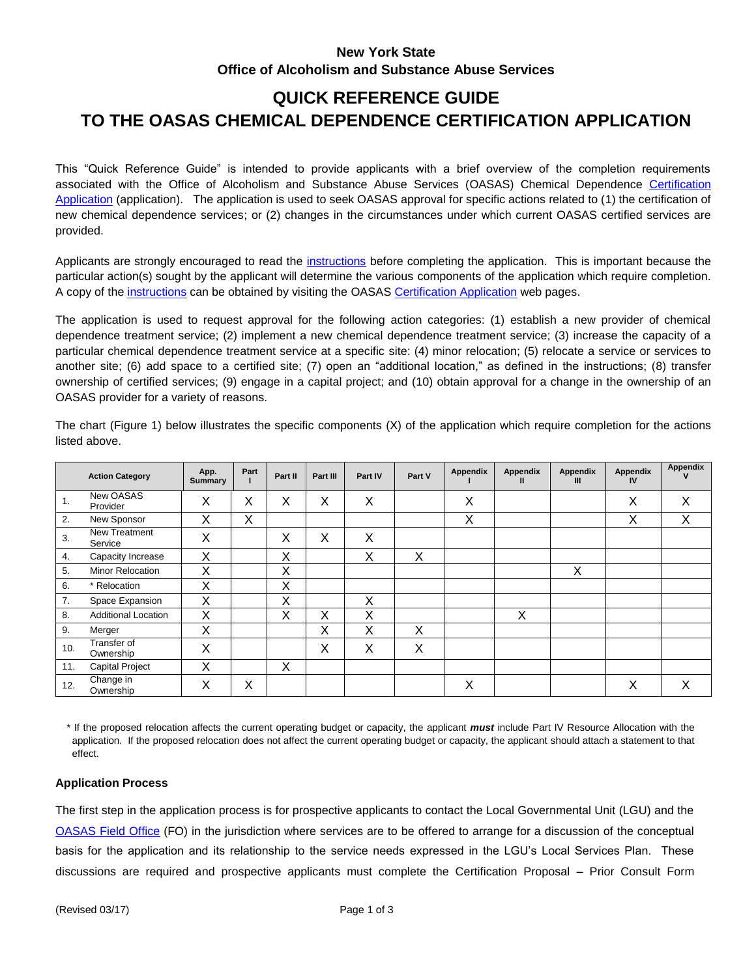# **New York State Office of Alcoholism and Substance Abuse Services**

# **QUICK REFERENCE GUIDE TO THE OASAS CHEMICAL DEPENDENCE CERTIFICATION APPLICATION**

This "Quick Reference Guide" is intended to provide applicants with a brief overview of the completion requirements associated with the Office of Alcoholism and Substance Abuse Services (OASAS) Chemical Dependence [Certification](http://www.oasas.ny.gov/legal/CertApp/capphome.cfm)  [Application](http://www.oasas.ny.gov/legal/CertApp/capphome.cfm) (application). The application is used to seek OASAS approval for specific actions related to (1) the certification of new chemical dependence services; or (2) changes in the circumstances under which current OASAS certified services are provided.

Applicants are strongly encouraged to read the [instructions](http://www.oasas.ny.gov/legal/CertApp/documents/certappins.pdf) before completing the application. This is important because the particular action(s) sought by the applicant will determine the various components of the application which require completion. A copy of the [instructions](http://www.oasas.ny.gov/legal/CertApp/certappins.pdf) can be obtained by visiting the OASA[S Certification Application](http://www.oasas.ny.gov/legal/CertApp/capphome.cfm) web pages.

The application is used to request approval for the following action categories: (1) establish a new provider of chemical dependence treatment service; (2) implement a new chemical dependence treatment service; (3) increase the capacity of a particular chemical dependence treatment service at a specific site: (4) minor relocation; (5) relocate a service or services to another site; (6) add space to a certified site; (7) open an "additional location," as defined in the instructions; (8) transfer ownership of certified services; (9) engage in a capital project; and (10) obtain approval for a change in the ownership of an OASAS provider for a variety of reasons.

|     | <b>Action Category</b>     | App.<br><b>Summary</b> | Part             | Part II | Part III | Part IV | Part V | Appendix | Appendix<br>Ш | Appendix<br>Ш | <b>Appendix</b><br>IV | Appendix |
|-----|----------------------------|------------------------|------------------|---------|----------|---------|--------|----------|---------------|---------------|-----------------------|----------|
| 1.  | New OASAS<br>Provider      | X                      | Χ                | Χ       | X        | X       |        | X        |               |               | Χ                     | X        |
| 2.  | New Sponsor                | X                      | Χ                |         |          |         |        | Χ        |               |               | Χ                     | X        |
| 3.  | New Treatment<br>Service   | X                      |                  | X       | X        | X       |        |          |               |               |                       |          |
| 4.  | Capacity Increase          | X                      |                  | Χ       |          | Χ       | X      |          |               |               |                       |          |
| 5.  | Minor Relocation           | Χ                      |                  | Χ       |          |         |        |          |               | Χ             |                       |          |
| 6.  | * Relocation               | X                      |                  | Χ       |          |         |        |          |               |               |                       |          |
| 7.  | Space Expansion            | X                      |                  | Χ       |          | X       |        |          |               |               |                       |          |
| 8.  | <b>Additional Location</b> | Χ                      |                  | Χ       | X        | Х       |        |          | Χ             |               |                       |          |
| 9.  | Merger                     | Χ                      |                  |         | X        | Χ       | Χ      |          |               |               |                       |          |
| 10. | Transfer of<br>Ownership   | Χ                      |                  |         | X        | X       | X      |          |               |               |                       |          |
| 11. | <b>Capital Project</b>     | X                      |                  | Χ       |          |         |        |          |               |               |                       |          |
| 12. | Change in<br>Ownership     | X                      | $\check{ }$<br>⋏ |         |          |         |        | X        |               |               | Χ                     | Χ        |

The chart (Figure 1) below illustrates the specific components (X) of the application which require completion for the actions listed above.

\* If the proposed relocation affects the current operating budget or capacity, the applicant *must* include Part IV Resource Allocation with the application. If the proposed relocation does not affect the current operating budget or capacity, the applicant should attach a statement to that effect.

#### **Application Process**

The first step in the application process is for prospective applicants to contact the Local Governmental Unit (LGU) and the [OASAS Field Office](http://www.oasas.ny.gov/pio/regdir.cfm) (FO) in the jurisdiction where services are to be offered to arrange for a discussion of the conceptual basis for the application and its relationship to the service needs expressed in the LGU's Local Services Plan. These discussions are required and prospective applicants must complete the Certification Proposal – Prior Consult Form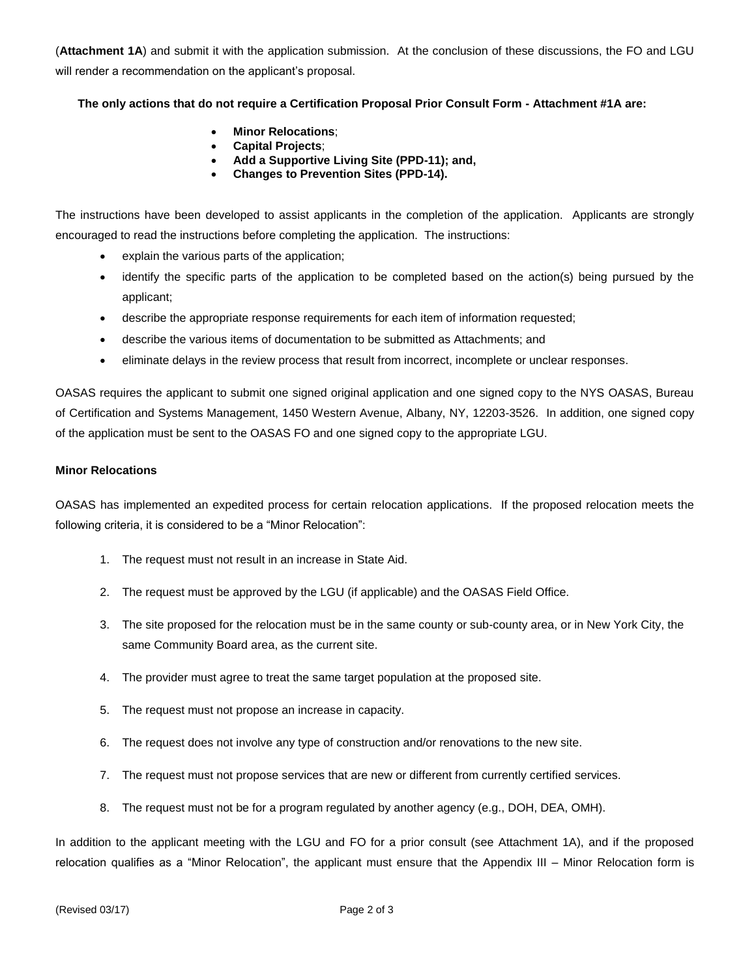(**Attachment 1A**) and submit it with the application submission. At the conclusion of these discussions, the FO and LGU will render a recommendation on the applicant's proposal.

### **The only actions that do not require a Certification Proposal Prior Consult Form - Attachment #1A are:**

- **Minor Relocations**;
- **Capital Projects**;
- **Add a Supportive Living Site (PPD-11); and,**
- **Changes to Prevention Sites (PPD-14).**

The instructions have been developed to assist applicants in the completion of the application. Applicants are strongly encouraged to read the instructions before completing the application. The instructions:

- explain the various parts of the application;
- identify the specific parts of the application to be completed based on the action(s) being pursued by the applicant;
- describe the appropriate response requirements for each item of information requested;
- describe the various items of documentation to be submitted as Attachments; and
- eliminate delays in the review process that result from incorrect, incomplete or unclear responses.

OASAS requires the applicant to submit one signed original application and one signed copy to the NYS OASAS, Bureau of Certification and Systems Management, 1450 Western Avenue, Albany, NY, 12203-3526. In addition, one signed copy of the application must be sent to the OASAS FO and one signed copy to the appropriate LGU.

#### **Minor Relocations**

OASAS has implemented an expedited process for certain relocation applications. If the proposed relocation meets the following criteria, it is considered to be a "Minor Relocation":

- 1. The request must not result in an increase in State Aid.
- 2. The request must be approved by the LGU (if applicable) and the OASAS Field Office.
- 3. The site proposed for the relocation must be in the same county or sub-county area, or in New York City, the same Community Board area, as the current site.
- 4. The provider must agree to treat the same target population at the proposed site.
- 5. The request must not propose an increase in capacity.
- 6. The request does not involve any type of construction and/or renovations to the new site.
- 7. The request must not propose services that are new or different from currently certified services.
- 8. The request must not be for a program regulated by another agency (e.g., DOH, DEA, OMH).

In addition to the applicant meeting with the LGU and FO for a prior consult (see Attachment 1A), and if the proposed relocation qualifies as a "Minor Relocation", the applicant must ensure that the Appendix III – Minor Relocation form is